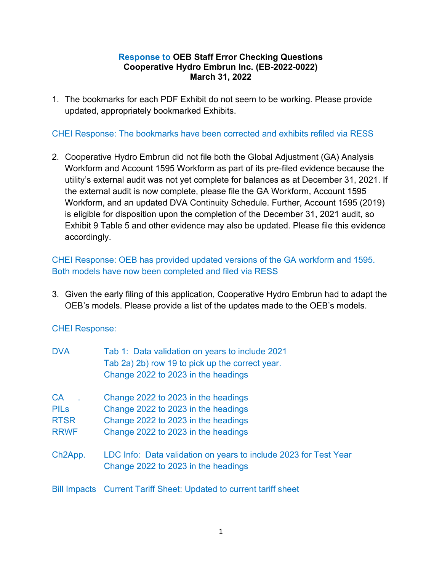## Response to OEB Staff Error Checking Questions Cooperative Hydro Embrun Inc. (EB-2022-0022) March 31, 2022

1. The bookmarks for each PDF Exhibit do not seem to be working. Please provide updated, appropriately bookmarked Exhibits.

# CHEI Response: The bookmarks have been corrected and exhibits refiled via RESS

2. Cooperative Hydro Embrun did not file both the Global Adjustment (GA) Analysis Workform and Account 1595 Workform as part of its pre-filed evidence because the utility's external audit was not yet complete for balances as at December 31, 2021. If the external audit is now complete, please file the GA Workform, Account 1595 Workform, and an updated DVA Continuity Schedule. Further, Account 1595 (2019) is eligible for disposition upon the completion of the December 31, 2021 audit, so Exhibit 9 Table 5 and other evidence may also be updated. Please file this evidence accordingly.

# CHEI Response: OEB has provided updated versions of the GA workform and 1595. Both models have now been completed and filed via RESS

3. Given the early filing of this application, Cooperative Hydro Embrun had to adapt the OEB's models. Please provide a list of the updates made to the OEB's models.

## CHEI Response:

| <b>DVA</b>           | Tab 1: Data validation on years to include 2021                                                         |  |  |  |  |
|----------------------|---------------------------------------------------------------------------------------------------------|--|--|--|--|
|                      | Tab 2a) 2b) row 19 to pick up the correct year.                                                         |  |  |  |  |
|                      | Change 2022 to 2023 in the headings                                                                     |  |  |  |  |
| CA                   | Change 2022 to 2023 in the headings                                                                     |  |  |  |  |
| <b>PILs</b>          | Change 2022 to 2023 in the headings                                                                     |  |  |  |  |
| <b>RTSR</b>          | Change 2022 to 2023 in the headings                                                                     |  |  |  |  |
| <b>RRWF</b>          | Change 2022 to 2023 in the headings                                                                     |  |  |  |  |
| Ch <sub>2</sub> App. | LDC Info: Data validation on years to include 2023 for Test Year<br>Change 2022 to 2023 in the headings |  |  |  |  |
|                      |                                                                                                         |  |  |  |  |

Bill Impacts Current Tariff Sheet: Updated to current tariff sheet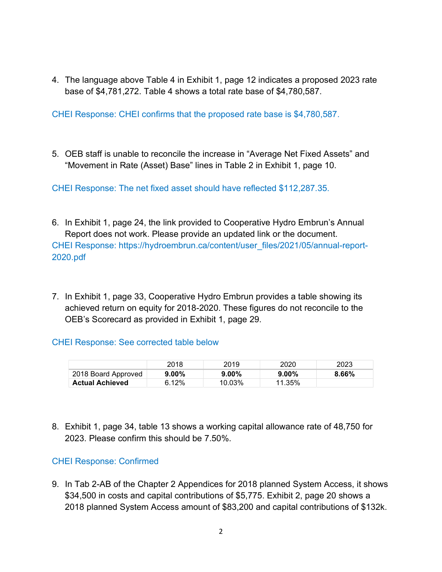4. The language above Table 4 in Exhibit 1, page 12 indicates a proposed 2023 rate base of \$4,781,272. Table 4 shows a total rate base of \$4,780,587.

CHEI Response: CHEI confirms that the proposed rate base is \$4,780,587.

5. OEB staff is unable to reconcile the increase in "Average Net Fixed Assets" and "Movement in Rate (Asset) Base" lines in Table 2 in Exhibit 1, page 10.

CHEI Response: The net fixed asset should have reflected \$112,287.35.

- 6. In Exhibit 1, page 24, the link provided to Cooperative Hydro Embrun's Annual Report does not work. Please provide an updated link or the document. CHEI Response: https://hydroembrun.ca/content/user\_files/2021/05/annual-report-2020.pdf
- 7. In Exhibit 1, page 33, Cooperative Hydro Embrun provides a table showing its achieved return on equity for 2018-2020. These figures do not reconcile to the OEB's Scorecard as provided in Exhibit 1, page 29.

## CHEI Response: See corrected table below

|                        | 2018     | 2019     | 2020   | 2023  |
|------------------------|----------|----------|--------|-------|
| 2018 Board Approved    | $9.00\%$ | $9.00\%$ | 9.00%  | 8.66% |
| <b>Actual Achieved</b> | 6.12%    | 10.03%   | 11.35% |       |

8. Exhibit 1, page 34, table 13 shows a working capital allowance rate of 48,750 for 2023. Please confirm this should be 7.50%.

# CHEI Response: Confirmed

9. In Tab 2-AB of the Chapter 2 Appendices for 2018 planned System Access, it shows \$34,500 in costs and capital contributions of \$5,775. Exhibit 2, page 20 shows a 2018 planned System Access amount of \$83,200 and capital contributions of \$132k.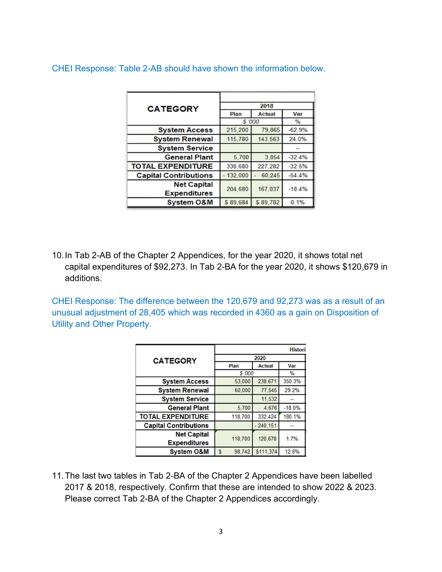CHEI Response: Table 2-AB should have shown the information below.

| <b>CATEGORY</b>              | 2018     |               |          |  |  |
|------------------------------|----------|---------------|----------|--|--|
|                              | Plan     | <b>Actual</b> | Var      |  |  |
|                              | \$ '000  | $\%$          |          |  |  |
| <b>System Access</b>         | 215,200  | 79,865        | $-62.9%$ |  |  |
| <b>System Renewal</b>        | 115,780  | 143,563       | 24.0%    |  |  |
| <b>System Service</b>        |          |               |          |  |  |
| <b>General Plant</b>         | 5,700    | 3,854         | $-32.4%$ |  |  |
| <b>TOTAL EXPENDITURE</b>     | 336,680  | 227,282       | $-32.5%$ |  |  |
| <b>Capital Contributions</b> | 132,000  | 60.245        | $-54.4%$ |  |  |
| <b>Net Capital</b>           |          | 167,037       | $-18.4%$ |  |  |
| <b>Expenditures</b>          | 204,680  |               |          |  |  |
| <b>System O&amp;M</b>        | \$89,684 | \$89,782      | 0.1%     |  |  |

10. In Tab 2-AB of the Chapter 2 Appendices, for the year 2020, it shows total net capital expenditures of \$92,273. In Tab 2-BA for the year 2020, it shows \$120,679 in additions.

CHEI Response: The difference between the 120,679 and 92,273 was as a result of an unusual adjustment of 28,405 which was recorded in 4360 as a gain on Disposition of Utility and Other Property.

|                              | <b>Histori</b> |               |               |  |  |
|------------------------------|----------------|---------------|---------------|--|--|
| <b>CATEGORY</b>              | 2020           |               |               |  |  |
|                              | Plan           | <b>Actual</b> | Var           |  |  |
|                              | \$ '000        |               | $\frac{9}{6}$ |  |  |
| <b>System Access</b>         | 53,000         | 238,671       | 350.3%        |  |  |
| <b>System Renewal</b>        | 60,000         | 77,545        | 29.2%         |  |  |
| <b>System Service</b>        |                | 11,532        |               |  |  |
| <b>General Plant</b>         | 5,700          | 4,676         | $-18.0%$      |  |  |
| <b>TOTAL EXPENDITURE</b>     | 118,700        | 332,424       | 180.1%        |  |  |
| <b>Capital Contributions</b> |                | $-240,151$    |               |  |  |
| <b>Net Capital</b>           |                | 120,678       | 1.7%          |  |  |
| <b>Expenditures</b>          | 118,700        |               |               |  |  |
| <b>System O&amp;M</b>        | S<br>98,742    | \$111,374     | 12.8%         |  |  |

11. The last two tables in Tab 2-BA of the Chapter 2 Appendices have been labelled 2017 & 2018, respectively. Confirm that these are intended to show 2022 & 2023. Please correct Tab 2-BA of the Chapter 2 Appendices accordingly.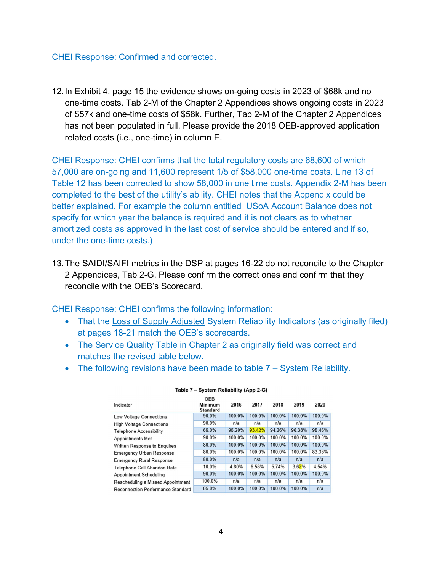#### CHEI Response: Confirmed and corrected.

12. In Exhibit 4, page 15 the evidence shows on-going costs in 2023 of \$68k and no one-time costs. Tab 2-M of the Chapter 2 Appendices shows ongoing costs in 2023 of \$57k and one-time costs of \$58k. Further, Tab 2-M of the Chapter 2 Appendices has not been populated in full. Please provide the 2018 OEB-approved application related costs (i.e., one-time) in column E.

CHEI Response: CHEI confirms that the total regulatory costs are 68,600 of which 57,000 are on-going and 11,600 represent 1/5 of \$58,000 one-time costs. Line 13 of Table 12 has been corrected to show 58,000 in one time costs. Appendix 2-M has been completed to the best of the utility's ability. CHEI notes that the Appendix could be better explained. For example the column entitled USoA Account Balance does not specify for which year the balance is required and it is not clears as to whether amortized costs as approved in the last cost of service should be entered and if so, under the one-time costs.)

13. The SAIDI/SAIFI metrics in the DSP at pages 16-22 do not reconcile to the Chapter 2 Appendices, Tab 2-G. Please confirm the correct ones and confirm that they reconcile with the OEB's Scorecard.

CHEI Response: CHEI confirms the following information:

- That the Loss of Supply Adjusted System Reliability Indicators (as originally filed) at pages 18-21 match the OEB's scorecards.
- The Service Quality Table in Chapter 2 as originally field was correct and matches the revised table below.
- The following revisions have been made to table 7 System Reliability.

| Indicator                                | <b>OEB</b><br>Minimum<br><b>Standard</b> | 2016   | 2017   | 2018   | 2019   | 2020   |
|------------------------------------------|------------------------------------------|--------|--------|--------|--------|--------|
| <b>Low Voltage Connections</b>           | 90.0%                                    | 100.0% | 100.0% | 100 0% | 100.0% | 100.0% |
| <b>High Voltage Connections</b>          | 90.0%                                    | n/a    | n/a    | n/a    | n/a    | n/a    |
| <b>Telephone Accessibility</b>           | 65.0%                                    | 95.20% | 93.42% | 94.26% | 96.38% | 95.46% |
| <b>Appointments Met</b>                  | 90.0%                                    | 100.0% | 100.0% | 100.0% | 100.0% | 100.0% |
| Written Response to Enquires             | 80.0%                                    | 100.0% | 100.0% | 100.0% | 100.0% | 100.0% |
| <b>Emergency Urban Response</b>          | 80.0%                                    | 100.0% | 100.0% | 100.0% | 100.0% | 83.33% |
| <b>Emergency Rural Response</b>          | 80.0%                                    | n/a    | n/a    | n/a    | n/a    | n/a    |
| Telephone Call Abandon Rate              | 10.0%                                    | 4.80%  | 6.58%  | 5.74%  | 3.62%  | 4.54%  |
| Appointment Scheduling                   | 90.0%                                    | 100.0% | 100.0% | 100.0% | 100.0% | 100.0% |
| Rescheduling a Missed Appointment        | 100.0%                                   | n/a    | n/a    | n/a    | n/a    | n/a    |
| <b>Reconnection Performance Standard</b> | 85.0%                                    | 100.0% | 100.0% | 100.0% | 100.0% | n/a    |

#### Table 7 - System Reliability (App 2-G)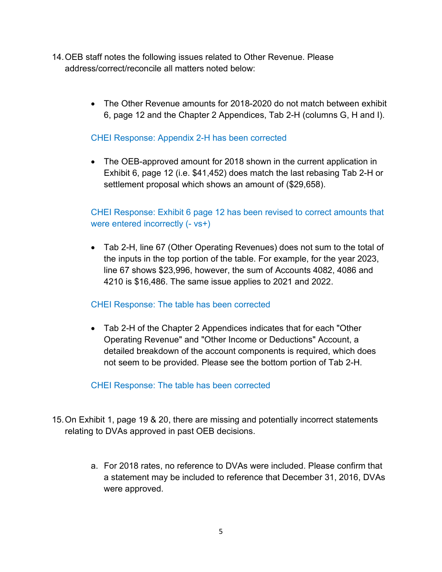- 14. OEB staff notes the following issues related to Other Revenue. Please address/correct/reconcile all matters noted below:
	- The Other Revenue amounts for 2018-2020 do not match between exhibit 6, page 12 and the Chapter 2 Appendices, Tab 2-H (columns G, H and I).

# CHEI Response: Appendix 2-H has been corrected

 The OEB-approved amount for 2018 shown in the current application in Exhibit 6, page 12 (i.e. \$41,452) does match the last rebasing Tab 2-H or settlement proposal which shows an amount of (\$29,658).

# CHEI Response: Exhibit 6 page 12 has been revised to correct amounts that were entered incorrectly (- vs+)

 Tab 2-H, line 67 (Other Operating Revenues) does not sum to the total of the inputs in the top portion of the table. For example, for the year 2023, line 67 shows \$23,996, however, the sum of Accounts 4082, 4086 and 4210 is \$16,486. The same issue applies to 2021 and 2022.

## CHEI Response: The table has been corrected

 Tab 2-H of the Chapter 2 Appendices indicates that for each "Other Operating Revenue" and "Other Income or Deductions" Account, a detailed breakdown of the account components is required, which does not seem to be provided. Please see the bottom portion of Tab 2-H.

## CHEI Response: The table has been corrected

- 15. On Exhibit 1, page 19 & 20, there are missing and potentially incorrect statements relating to DVAs approved in past OEB decisions.
	- a. For 2018 rates, no reference to DVAs were included. Please confirm that a statement may be included to reference that December 31, 2016, DVAs were approved.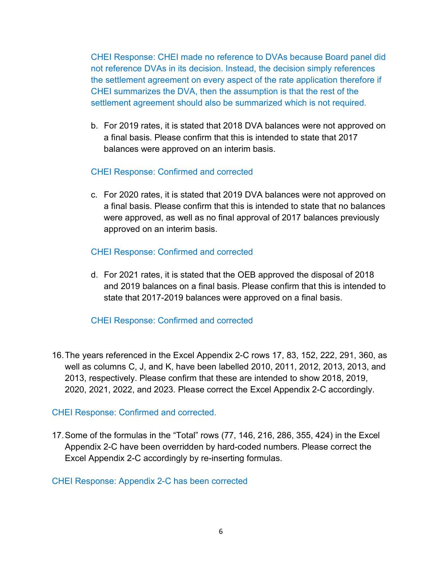CHEI Response: CHEI made no reference to DVAs because Board panel did not reference DVAs in its decision. Instead, the decision simply references the settlement agreement on every aspect of the rate application therefore if CHEI summarizes the DVA, then the assumption is that the rest of the settlement agreement should also be summarized which is not required.

b. For 2019 rates, it is stated that 2018 DVA balances were not approved on a final basis. Please confirm that this is intended to state that 2017 balances were approved on an interim basis.

# CHEI Response: Confirmed and corrected

c. For 2020 rates, it is stated that 2019 DVA balances were not approved on a final basis. Please confirm that this is intended to state that no balances were approved, as well as no final approval of 2017 balances previously approved on an interim basis.

# CHEI Response: Confirmed and corrected

d. For 2021 rates, it is stated that the OEB approved the disposal of 2018 and 2019 balances on a final basis. Please confirm that this is intended to state that 2017-2019 balances were approved on a final basis.

# CHEI Response: Confirmed and corrected

16. The years referenced in the Excel Appendix 2-C rows 17, 83, 152, 222, 291, 360, as well as columns C, J, and K, have been labelled 2010, 2011, 2012, 2013, 2013, and 2013, respectively. Please confirm that these are intended to show 2018, 2019, 2020, 2021, 2022, and 2023. Please correct the Excel Appendix 2-C accordingly.

# CHEI Response: Confirmed and corrected.

17. Some of the formulas in the "Total" rows (77, 146, 216, 286, 355, 424) in the Excel Appendix 2-C have been overridden by hard-coded numbers. Please correct the Excel Appendix 2-C accordingly by re-inserting formulas.

## CHEI Response: Appendix 2-C has been corrected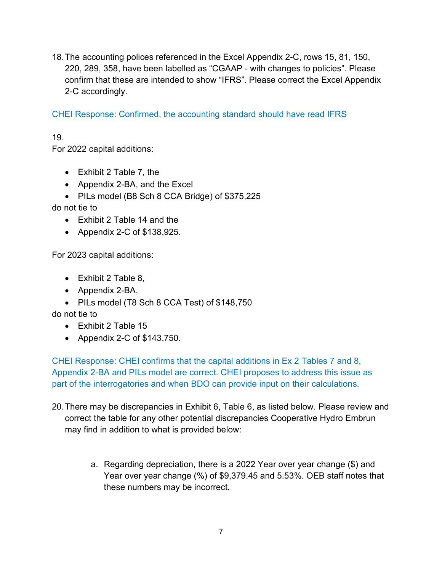18. The accounting polices referenced in the Excel Appendix 2-C, rows 15, 81, 150, 220, 289, 358, have been labelled as "CGAAP - with changes to policies". Please confirm that these are intended to show "IFRS". Please correct the Excel Appendix 2-C accordingly.

CHEI Response: Confirmed, the accounting standard should have read IFRS

## 19. For 2022 capital additions:

- Exhibit 2 Table 7, the
- Appendix 2-BA, and the Excel
- PILs model (B8 Sch 8 CCA Bridge) of \$375,225

do not tie to

- Exhibit 2 Table 14 and the
- Appendix 2-C of \$138,925.

# For 2023 capital additions:

- Exhibit 2 Table 8,
- Appendix 2-BA,
- PILs model (T8 Sch 8 CCA Test) of \$148,750

do not tie to

- Exhibit 2 Table 15
- Appendix 2-C of \$143,750.

CHEI Response: CHEI confirms that the capital additions in Ex 2 Tables 7 and 8, Appendix 2-BA and PILs model are correct. CHEI proposes to address this issue as part of the interrogatories and when BDO can provide input on their calculations.

- 20. There may be discrepancies in Exhibit 6, Table 6, as listed below. Please review and correct the table for any other potential discrepancies Cooperative Hydro Embrun may find in addition to what is provided below:
	- a. Regarding depreciation, there is a 2022 Year over year change (\$) and Year over year change (%) of \$9,379.45 and 5.53%. OEB staff notes that these numbers may be incorrect.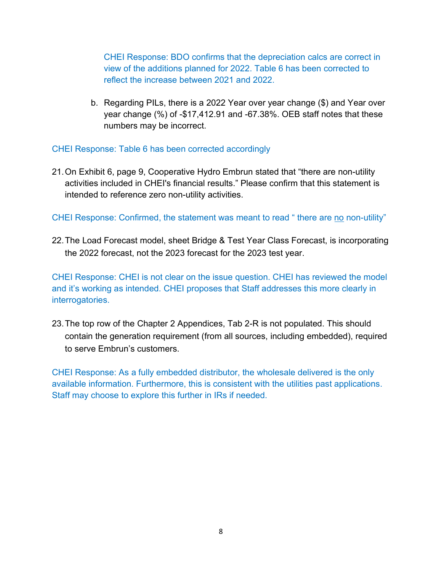CHEI Response: BDO confirms that the depreciation calcs are correct in view of the additions planned for 2022. Table 6 has been corrected to reflect the increase between 2021 and 2022.

b. Regarding PILs, there is a 2022 Year over year change (\$) and Year over year change (%) of -\$17,412.91 and -67.38%. OEB staff notes that these numbers may be incorrect.

CHEI Response: Table 6 has been corrected accordingly

21. On Exhibit 6, page 9, Cooperative Hydro Embrun stated that "there are non-utility activities included in CHEI's financial results." Please confirm that this statement is intended to reference zero non-utility activities.

CHEI Response: Confirmed, the statement was meant to read " there are no non-utility"

22. The Load Forecast model, sheet Bridge & Test Year Class Forecast, is incorporating the 2022 forecast, not the 2023 forecast for the 2023 test year.

CHEI Response: CHEI is not clear on the issue question. CHEI has reviewed the model and it's working as intended. CHEI proposes that Staff addresses this more clearly in interrogatories.

23. The top row of the Chapter 2 Appendices, Tab 2-R is not populated. This should contain the generation requirement (from all sources, including embedded), required to serve Embrun's customers.

CHEI Response: As a fully embedded distributor, the wholesale delivered is the only available information. Furthermore, this is consistent with the utilities past applications. Staff may choose to explore this further in IRs if needed.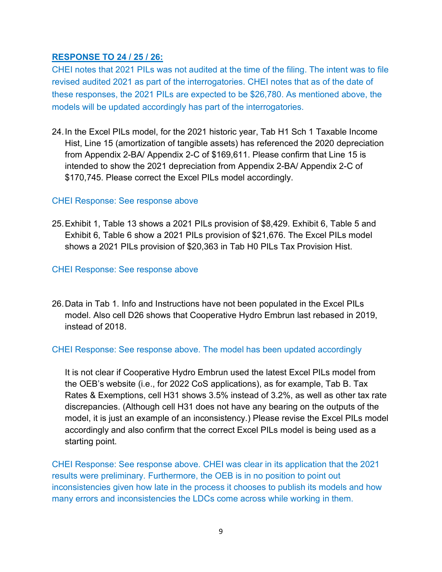## RESPONSE TO 24 / 25 / 26:

CHEI notes that 2021 PILs was not audited at the time of the filing. The intent was to file revised audited 2021 as part of the interrogatories. CHEI notes that as of the date of these responses, the 2021 PILs are expected to be \$26,780. As mentioned above, the models will be updated accordingly has part of the interrogatories.

24. In the Excel PILs model, for the 2021 historic year, Tab H1 Sch 1 Taxable Income Hist, Line 15 (amortization of tangible assets) has referenced the 2020 depreciation from Appendix 2-BA/ Appendix 2-C of \$169,611. Please confirm that Line 15 is intended to show the 2021 depreciation from Appendix 2-BA/ Appendix 2-C of \$170,745. Please correct the Excel PILs model accordingly.

## CHEI Response: See response above

25. Exhibit 1, Table 13 shows a 2021 PILs provision of \$8,429. Exhibit 6, Table 5 and Exhibit 6, Table 6 show a 2021 PILs provision of \$21,676. The Excel PILs model shows a 2021 PILs provision of \$20,363 in Tab H0 PILs Tax Provision Hist.

# CHEI Response: See response above

26. Data in Tab 1. Info and Instructions have not been populated in the Excel PILs model. Also cell D26 shows that Cooperative Hydro Embrun last rebased in 2019, instead of 2018.

# CHEI Response: See response above. The model has been updated accordingly

It is not clear if Cooperative Hydro Embrun used the latest Excel PILs model from the OEB's website (i.e., for 2022 CoS applications), as for example, Tab B. Tax Rates & Exemptions, cell H31 shows 3.5% instead of 3.2%, as well as other tax rate discrepancies. (Although cell H31 does not have any bearing on the outputs of the model, it is just an example of an inconsistency.) Please revise the Excel PILs model accordingly and also confirm that the correct Excel PILs model is being used as a starting point.

CHEI Response: See response above. CHEI was clear in its application that the 2021 results were preliminary. Furthermore, the OEB is in no position to point out inconsistencies given how late in the process it chooses to publish its models and how many errors and inconsistencies the LDCs come across while working in them.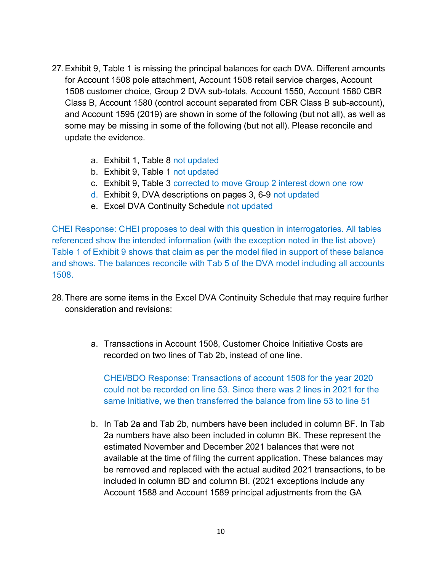- 27. Exhibit 9, Table 1 is missing the principal balances for each DVA. Different amounts for Account 1508 pole attachment, Account 1508 retail service charges, Account 1508 customer choice, Group 2 DVA sub-totals, Account 1550, Account 1580 CBR Class B, Account 1580 (control account separated from CBR Class B sub-account), and Account 1595 (2019) are shown in some of the following (but not all), as well as some may be missing in some of the following (but not all). Please reconcile and update the evidence.
	- a. Exhibit 1, Table 8 not updated
	- b. Exhibit 9, Table 1 not updated
	- c. Exhibit 9, Table 3 corrected to move Group 2 interest down one row
	- d. Exhibit 9, DVA descriptions on pages 3, 6-9 not updated
	- e. Excel DVA Continuity Schedule not updated

CHEI Response: CHEI proposes to deal with this question in interrogatories. All tables referenced show the intended information (with the exception noted in the list above) Table 1 of Exhibit 9 shows that claim as per the model filed in support of these balance and shows. The balances reconcile with Tab 5 of the DVA model including all accounts 1508.

- 28. There are some items in the Excel DVA Continuity Schedule that may require further consideration and revisions:
	- a. Transactions in Account 1508, Customer Choice Initiative Costs are recorded on two lines of Tab 2b, instead of one line.

CHEI/BDO Response: Transactions of account 1508 for the year 2020 could not be recorded on line 53. Since there was 2 lines in 2021 for the same Initiative, we then transferred the balance from line 53 to line 51

b. In Tab 2a and Tab 2b, numbers have been included in column BF. In Tab 2a numbers have also been included in column BK. These represent the estimated November and December 2021 balances that were not available at the time of filing the current application. These balances may be removed and replaced with the actual audited 2021 transactions, to be included in column BD and column BI. (2021 exceptions include any Account 1588 and Account 1589 principal adjustments from the GA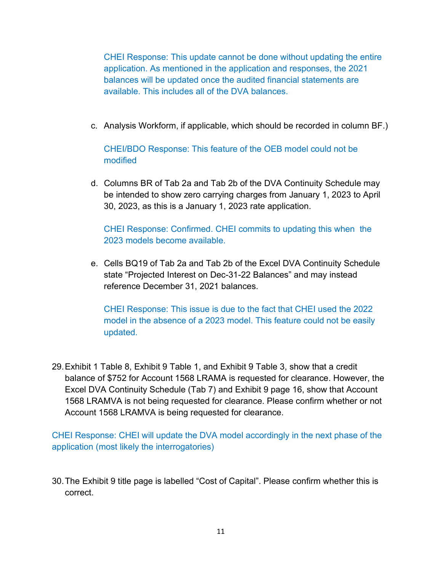CHEI Response: This update cannot be done without updating the entire application. As mentioned in the application and responses, the 2021 balances will be updated once the audited financial statements are available. This includes all of the DVA balances.

c. Analysis Workform, if applicable, which should be recorded in column BF.)

# CHEI/BDO Response: This feature of the OEB model could not be modified

d. Columns BR of Tab 2a and Tab 2b of the DVA Continuity Schedule may be intended to show zero carrying charges from January 1, 2023 to April 30, 2023, as this is a January 1, 2023 rate application.

CHEI Response: Confirmed. CHEI commits to updating this when the 2023 models become available.

e. Cells BQ19 of Tab 2a and Tab 2b of the Excel DVA Continuity Schedule state "Projected Interest on Dec-31-22 Balances" and may instead reference December 31, 2021 balances.

CHEI Response: This issue is due to the fact that CHEI used the 2022 model in the absence of a 2023 model. This feature could not be easily updated.

29. Exhibit 1 Table 8, Exhibit 9 Table 1, and Exhibit 9 Table 3, show that a credit balance of \$752 for Account 1568 LRAMA is requested for clearance. However, the Excel DVA Continuity Schedule (Tab 7) and Exhibit 9 page 16, show that Account 1568 LRAMVA is not being requested for clearance. Please confirm whether or not Account 1568 LRAMVA is being requested for clearance.

CHEI Response: CHEI will update the DVA model accordingly in the next phase of the application (most likely the interrogatories)

30. The Exhibit 9 title page is labelled "Cost of Capital". Please confirm whether this is correct.